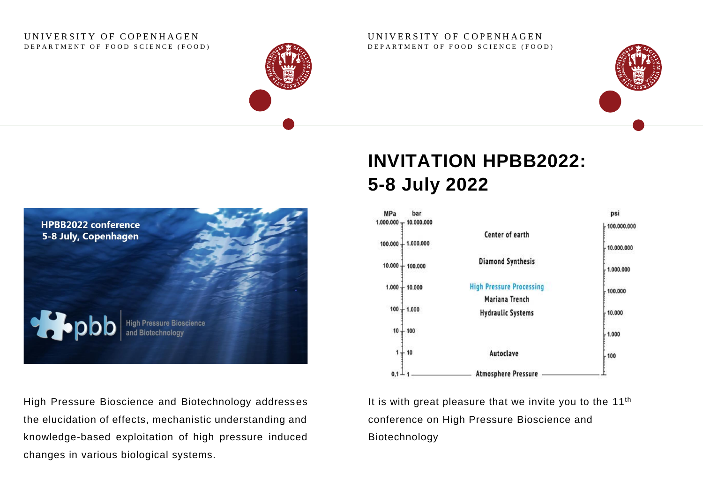#### UNIVERSITY OF COPENHAGEN DEPARTMENT OF FOOD SCIENCE (FOOD)



#### UNIVERSITY OF COPENHAGEN DEPARTMENT OF FOOD SCIENCE (FOOD)





High Pressure Bioscience and Biotechnology addresses the elucidation of effects, mechanistic understanding and knowledge-based exploitation of high pressure induced changes in various biological systems.

# **INVITATION HPBB2022: 5-8 July 2022**



It is with great pleasure that we invite you to the 11<sup>th</sup> conference on High Pressure Bioscience and Biotechnology